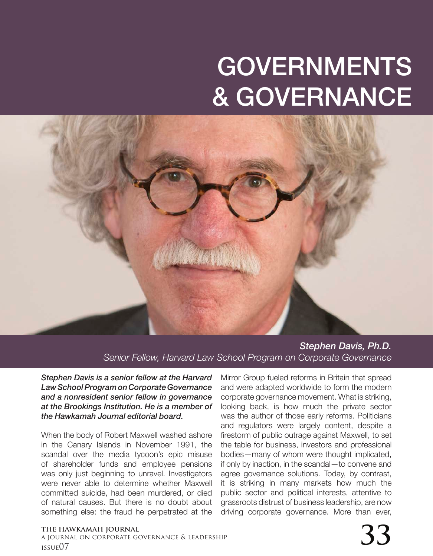## GOVERNMENTS & GOVERNANCE



*Stephen Davis, Ph.D. Senior Fellow, Harvard Law School Program on Corporate Governance*

*Stephen Davis is a senior fellow at the Harvard Law School Program on Corporate Governance and a nonresident senior fellow in governance at the Brookings Institution. He is a member of the Hawkamah Journal editorial board.*

When the body of Robert Maxwell washed ashore in the Canary Islands in November 1991, the scandal over the media tycoon's epic misuse of shareholder funds and employee pensions was only just beginning to unravel. Investigators were never able to determine whether Maxwell committed suicide, had been murdered, or died of natural causes. But there is no doubt about something else: the fraud he perpetrated at the

Mirror Group fueled reforms in Britain that spread and were adapted worldwide to form the modern corporate governance movement. What is striking, looking back, is how much the private sector was the author of those early reforms. Politicians and regulators were largely content, despite a firestorm of public outrage against Maxwell, to set the table for business, investors and professional bodies—many of whom were thought implicated, if only by inaction, in the scandal—to convene and agree governance solutions. Today, by contrast, it is striking in many markets how much the public sector and political interests, attentive to grassroots distrust of business leadership, are now driving corporate governance. More than ever,

a journal on corporate governance & leadership THE HAWKAMAH JOURNAL<br>a journal on corporate governance & leadership<br>issue07  $\,$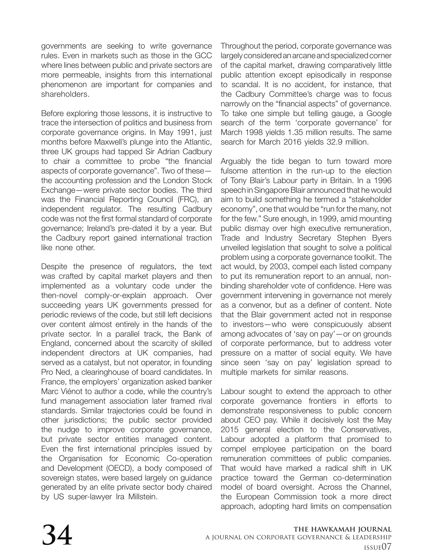governments are seeking to write governance rules. Even in markets such as those in the GCC where lines between public and private sectors are more permeable, insights from this international phenomenon are important for companies and shareholders.

Before exploring those lessons, it is instructive to trace the intersection of politics and business from corporate governance origins. In May 1991, just months before Maxwell's plunge into the Atlantic, three UK groups had tapped Sir Adrian Cadbury to chair a committee to probe "the financial aspects of corporate governance". Two of these the accounting profession and the London Stock Exchange—were private sector bodies. The third was the Financial Reporting Council (FRC), an independent regulator. The resulting Cadbury code was not the first formal standard of corporate governance; Ireland's pre-dated it by a year. But the Cadbury report gained international traction like none other.

Despite the presence of regulators, the text was crafted by capital market players and then implemented as a voluntary code under the then-novel comply-or-explain approach. Over succeeding years UK governments pressed for periodic reviews of the code, but still left decisions over content almost entirely in the hands of the private sector. In a parallel track, the Bank of England, concerned about the scarcity of skilled independent directors at UK companies, had served as a catalyst, but not operator, in founding Pro Ned, a clearinghouse of board candidates. In France, the employers' organization asked banker Marc Viénot to author a code, while the country's fund management association later framed rival standards. Similar trajectories could be found in other jurisdictions; the public sector provided the nudge to improve corporate governance, but private sector entities managed content. Even the first international principles issued by the Organisation for Economic Co-operation and Development (OECD), a body composed of sovereign states, were based largely on guidance generated by an elite private sector body chaired by US super-lawyer Ira Millstein.

Throughout the period, corporate governance was largely considered an arcane and specialized corner of the capital market, drawing comparatively little public attention except episodically in response to scandal. It is no accident, for instance, that the Cadbury Committee's charge was to focus narrowly on the "financial aspects" of governance. To take one simple but telling gauge, a Google search of the term 'corporate governance' for March 1998 yields 1.35 million results. The same search for March 2016 yields 32.9 million.

Arguably the tide began to turn toward more fulsome attention in the run-up to the election of Tony Blair's Labour party in Britain. In a 1996 speech in Singapore Blair announced that he would aim to build something he termed a "stakeholder economy", one that would be "run for the many, not for the few." Sure enough, in 1999, amid mounting public dismay over high executive remuneration, Trade and Industry Secretary Stephen Byers unveiled legislation that sought to solve a political problem using a corporate governance toolkit. The act would, by 2003, compel each listed company to put its remuneration report to an annual, nonbinding shareholder vote of confidence. Here was government intervening in governance not merely as a convenor, but as a definer of content. Note that the Blair government acted not in response to investors—who were conspicuously absent among advocates of 'say on pay'—or on grounds of corporate performance, but to address voter pressure on a matter of social equity. We have since seen 'say on pay' legislation spread to multiple markets for similar reasons.

Labour sought to extend the approach to other corporate governance frontiers in efforts to demonstrate responsiveness to public concern about CEO pay. While it decisively lost the May 2015 general election to the Conservatives, Labour adopted a platform that promised to compel employee participation on the board remuneration committees of public companies. That would have marked a radical shift in UK practice toward the German co-determination model of board oversight. Across the Channel, the European Commission took a more direct approach, adopting hard limits on compensation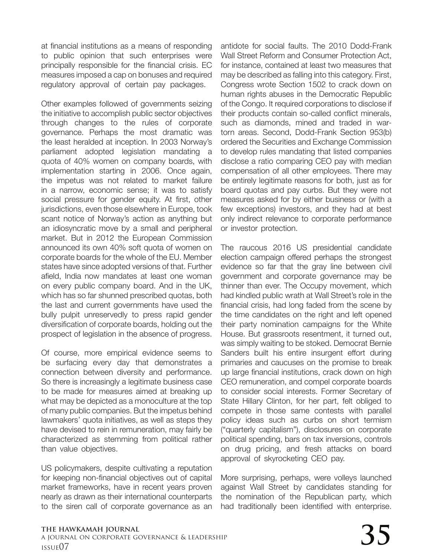at financial institutions as a means of responding to public opinion that such enterprises were principally responsible for the financial crisis. EC measures imposed a cap on bonuses and required regulatory approval of certain pay packages.

Other examples followed of governments seizing the initiative to accomplish public sector objectives through changes to the rules of corporate governance. Perhaps the most dramatic was the least heralded at inception. In 2003 Norway's parliament adopted legislation mandating a quota of 40% women on company boards, with implementation starting in 2006. Once again, the impetus was not related to market failure in a narrow, economic sense; it was to satisfy social pressure for gender equity. At first, other jurisdictions, even those elsewhere in Europe, took scant notice of Norway's action as anything but an idiosyncratic move by a small and peripheral market. But in 2012 the European Commission announced its own 40% soft quota of women on corporate boards for the whole of the EU. Member states have since adopted versions of that. Further afield, India now mandates at least one woman on every public company board. And in the UK, which has so far shunned prescribed quotas, both the last and current governments have used the bully pulpit unreservedly to press rapid gender diversification of corporate boards, holding out the prospect of legislation in the absence of progress.

Of course, more empirical evidence seems to be surfacing every day that demonstrates a connection between diversity and performance. So there is increasingly a legitimate business case to be made for measures aimed at breaking up what may be depicted as a monoculture at the top of many public companies. But the impetus behind lawmakers' quota initiatives, as well as steps they have devised to rein in remuneration, may fairly be characterized as stemming from political rather than value objectives.

US policymakers, despite cultivating a reputation for keeping non-financial objectives out of capital market frameworks, have in recent years proven nearly as drawn as their international counterparts to the siren call of corporate governance as an antidote for social faults. The 2010 Dodd-Frank Wall Street Reform and Consumer Protection Act, for instance, contained at least two measures that may be described as falling into this category. First, Congress wrote Section 1502 to crack down on human rights abuses in the Democratic Republic of the Congo. It required corporations to disclose if their products contain so-called conflict minerals, such as diamonds, mined and traded in wartorn areas. Second, Dodd-Frank Section 953(b) ordered the Securities and Exchange Commission to develop rules mandating that listed companies disclose a ratio comparing CEO pay with median compensation of all other employees. There may be entirely legitimate reasons for both, just as for board quotas and pay curbs. But they were not measures asked for by either business or (with a few exceptions) investors, and they had at best only indirect relevance to corporate performance or investor protection.

The raucous 2016 US presidential candidate election campaign offered perhaps the strongest evidence so far that the gray line between civil government and corporate governance may be thinner than ever. The Occupy movement, which had kindled public wrath at Wall Street's role in the financial crisis, had long faded from the scene by the time candidates on the right and left opened their party nomination campaigns for the White House. But grassroots resentment, it turned out, was simply waiting to be stoked. Democrat Bernie Sanders built his entire insurgent effort during primaries and caucuses on the promise to break up large financial institutions, crack down on high CEO remuneration, and compel corporate boards to consider social interests. Former Secretary of State Hillary Clinton, for her part, felt obliged to compete in those same contests with parallel policy ideas such as curbs on short termism ("quarterly capitalism"), disclosures on corporate political spending, bars on tax inversions, controls on drug pricing, and fresh attacks on board approval of skyrocketing CEO pay.

More surprising, perhaps, were volleys launched against Wall Street by candidates standing for the nomination of the Republican party, which had traditionally been identified with enterprise.